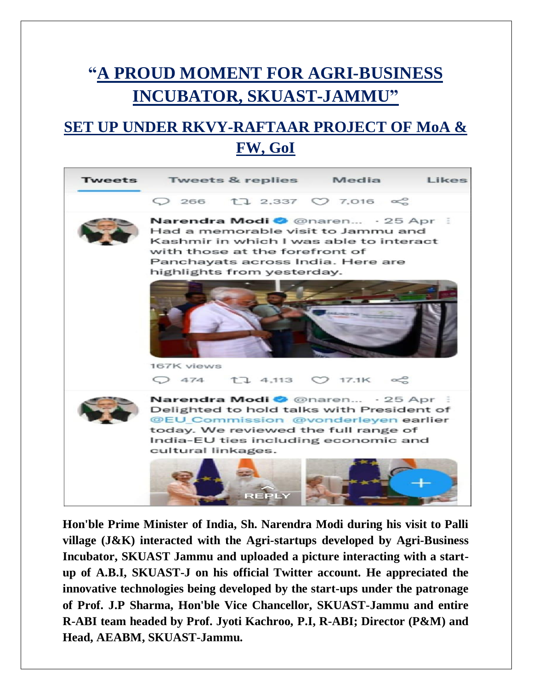## **"A PROUD MOMENT FOR AGRI-BUSINESS INCUBATOR, SKUAST-JAMMU"**

### **SET UP UNDER RKVY-RAFTAAR PROJECT OF MoA & FW, GoI**



**Hon'ble Prime Minister of India, Sh. Narendra Modi during his visit to Palli village (J&K) interacted with the Agri-startups developed by Agri-Business Incubator, SKUAST Jammu and uploaded a picture interacting with a startup of A.B.I, SKUAST-J on his official Twitter account. He appreciated the innovative technologies being developed by the start-ups under the patronage of Prof. J.P Sharma, Hon'ble Vice Chancellor, SKUAST-Jammu and entire R-ABI team headed by Prof. Jyoti Kachroo, P.I, R-ABI; Director (P&M) and Head, AEABM, SKUAST-Jammu.**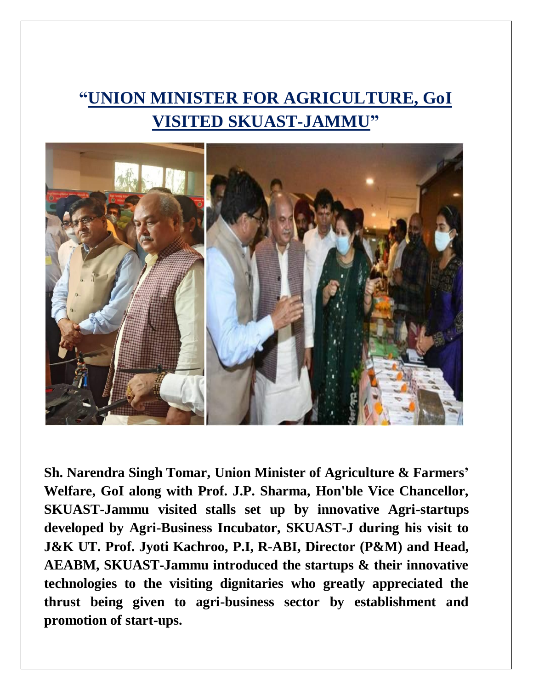## **"UNION MINISTER FOR AGRICULTURE, GoI VISITED SKUAST-JAMMU"**



**Sh. Narendra Singh Tomar, Union Minister of Agriculture & Farmers' Welfare, GoI along with Prof. J.P. Sharma, Hon'ble Vice Chancellor, SKUAST-Jammu visited stalls set up by innovative Agri-startups developed by Agri-Business Incubator, SKUAST-J during his visit to J&K UT. Prof. Jyoti Kachroo, P.I, R-ABI, Director (P&M) and Head, AEABM, SKUAST-Jammu introduced the startups & their innovative technologies to the visiting dignitaries who greatly appreciated the thrust being given to agri-business sector by establishment and promotion of start-ups.**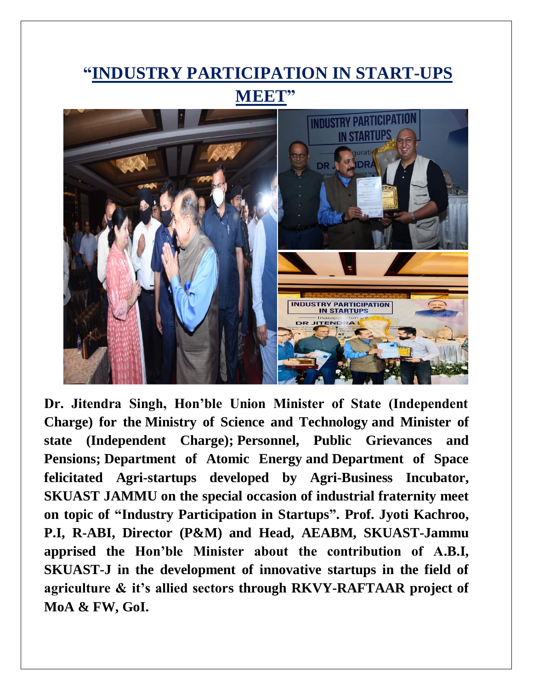# **"INDUSTRY PARTICIPATION IN START-UPS MEET"**



**Dr. Jitendra Singh, Hon'ble Union Minister of State (Independent Charge) for the [Ministry of Science and Technology](https://en.wikipedia.org/wiki/Ministry_of_Development_of_North_Eastern_Region) and Minister of state (Independent Charge); [Personnel, Public Grievances and](https://en.wikipedia.org/wiki/Ministry_of_Personnel,_Public_Grievances_and_Pensions)  [Pensions;](https://en.wikipedia.org/wiki/Ministry_of_Personnel,_Public_Grievances_and_Pensions) [Department of Atomic Energy](https://en.wikipedia.org/wiki/Department_of_Atomic_Energy) and [Department of Space](https://en.wikipedia.org/wiki/Department_of_Space) felicitated Agri-startups developed by Agri-Business Incubator, SKUAST JAMMU on the special occasion of industrial fraternity meet on topic of "Industry Participation in Startups". Prof. Jyoti Kachroo, P.I, R-ABI, Director (P&M) and Head, AEABM, SKUAST-Jammu apprised the Hon'ble Minister about the contribution of A.B.I, SKUAST-J in the development of innovative startups in the field of agriculture & it's allied sectors through RKVY-RAFTAAR project of MoA & FW, GoI.**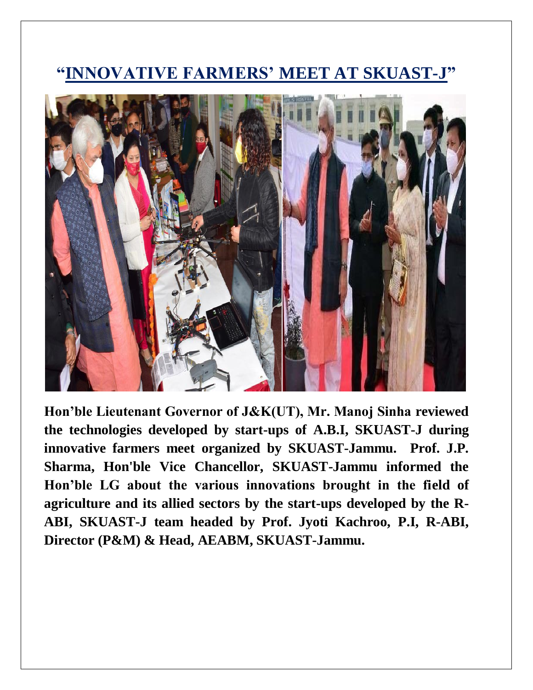#### **"INNOVATIVE FARMERS' MEET AT SKUAST-J"**



**Hon'ble Lieutenant Governor of J&K(UT), Mr. Manoj Sinha reviewed the technologies developed by start-ups of A.B.I, SKUAST-J during innovative farmers meet organized by SKUAST-Jammu. Prof. J.P. Sharma, Hon'ble Vice Chancellor, SKUAST-Jammu informed the Hon'ble LG about the various innovations brought in the field of agriculture and its allied sectors by the start-ups developed by the R-ABI, SKUAST-J team headed by Prof. Jyoti Kachroo, P.I, R-ABI, Director (P&M) & Head, AEABM, SKUAST-Jammu.**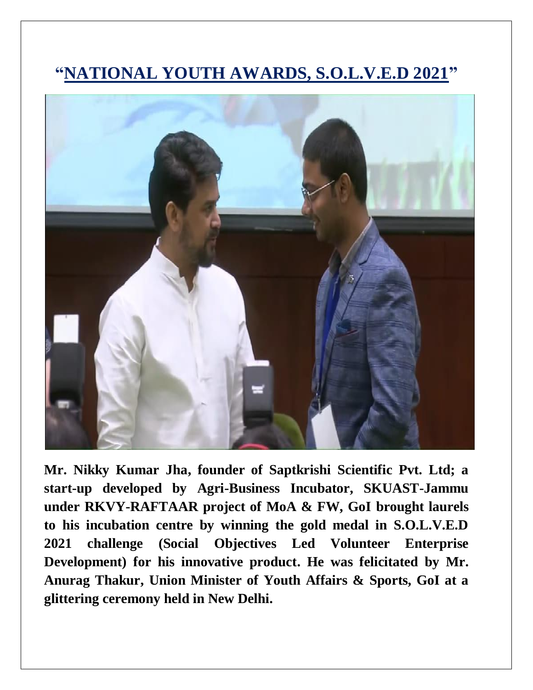### **"NATIONAL YOUTH AWARDS, S.O.L.V.E.D 2021"**



**Mr. Nikky Kumar Jha, founder of Saptkrishi Scientific Pvt. Ltd; a start-up developed by Agri-Business Incubator, SKUAST-Jammu under RKVY-RAFTAAR project of MoA & FW, GoI brought laurels to his incubation centre by winning the gold medal in S.O.L.V.E.D 2021 challenge (Social Objectives Led Volunteer Enterprise Development) for his innovative product. He was felicitated by Mr. Anurag Thakur, Union Minister of Youth Affairs & Sports, GoI at a glittering ceremony held in New Delhi.**